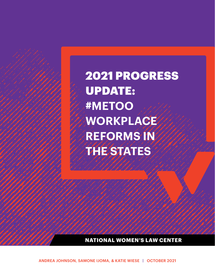2021 PROGRESS UPDATE: **#METOO WORKPLACE REFORMS IN THE STATES**

**NATIONAL WOMEN'S LAW CENTER**

ANDREA JOHNSON, SAMONE IJOMA, & KATIE WIESE | OCTOBER 2021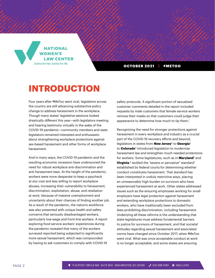**NATIONAL WOMEN'S LAW CENTER** Justice for Her. Justice for All.

OCTOBER 2021 | #METOO

# **INTRODUCTION**

Four years after #MeToo went viral, legislators across the country are still advancing substantive policy change to address harassment in the workplace. Though many states' legislative sessions looked drastically different this year—with legislators meeting and hearing testimony virtually in the wake of the COVID-19 pandemic—community members and state legislators remained interested and enthusiastic about strengthening workplace protections against sex-based harassment and other forms of workplace harassment.

And in many ways, the COVID-19 pandemic and the resulting economic recession have underscored the need for robust workplace anti-discrimination and anti-harassment laws. At the height of the pandemic, workers were more desperate to keep a paycheck at any cost and less willing to report workplace abuses, increasing their vulnerability to harassment, discrimination, exploitation, abuse, and retaliation at work, because of massive unemployment and uncertainty about their chances of finding another job. As a result of the pandemic, the nation's workforce was also presented with unique health and safety concerns that seriously disadvantaged workers, particularly low-wage and front-line workers. A report exploring food service workers' experiences during the pandemic revealed that many of the workers surveyed reported being subjected to significantly more sexual harassment, which was compounded by having to ask customers to comply with COVID-19

safety protocols. A significant portion of sexualized customer comments detailed in the report included requests by male customers that female service workers remove their masks so that customers could judge their appearance to determine how much to tip them.<sup>1</sup>

Recognizing the need for stronger protections against harassment in every workplace and industry as a crucial part of the COVID-19 recovery efforts and beyond, legislators in states from **New Jersey**<sup>2</sup> to **Georgia**<sup>3</sup> to **Colorado**4 introduced legislation to modernize harassment law and strengthen much needed protections for workers. Some legislatures, such as in **Maryland**5 and **Virginia**, 6 tackled the "severe or pervasive" standard7 established by federal courts for determining whether conduct constitutes harassment. That standard has been interpreted in unduly restrictive ways, placing an unreasonably high burden on survivors who have experienced harassment at work. Other states addressed issues such as the ensuring employees working for small employers have legal protection against harassment and extending workplace protections to domestic workers, who have traditionally been excluded from laws prohibiting discrimination, including harassment. Underlying all these reforms is the understanding that state legislatures must address fundamental barriers to justice for survivors of harassment, and that societal attitudes regarding sexual harassment and associated norms have changed since October 2017, when #MeToo went viral. What was once acceptable conduct at work is no longer acceptable, and some states are ensuring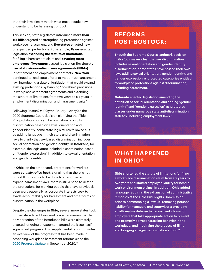that their laws finally match what most people now understand to be harassing conduct.

This session, state legislators introduced **more than 115 bills** targeted at strengthening protections against workplace harassment, and **five states** enacted new or expanded protections. For example, **Texas** enacted legislation **extending the statute of limitations** for filing a harassment claim and **covering more employees**. **Two states** passed legislation **limiting the use of abusive nondisclosure agreements (NDAs)**  in settlement and employment contracts. **New York** continued to lead state efforts to modernize harassment law, introducing a slate of legislation that would expand existing protections by banning "no-rehire" provisions in workplace settlement agreements and extending the statute of limitations from two years to six years in employment discrimination and harassment suits.<sup>8</sup>

Following *Bostock v. Clayton County, Georgia,*9 the 2020 Supreme Court decision clarifying that Title VII's prohibition on sex discrimination prohibits discrimination based on sexual orientation and gender identity, some state legislatures followed suit by adding language in their state anti-discrimination laws to clarify that sex-based discrimination includes sexual orientation and gender identity. In **Colorado**, for example, the legislature included discrimination based on "gender expression" in addition to sexual orientation and gender identity.

In **Ohio**, on the other hand, protections for workers *were actually rolled back*, signaling that there is not only still more work to be done to strengthen and expand harassment laws, there is still a need to defend the protections for working people that have previously been won, especially as corporate interests seek to evade accountability for harassment and other forms of discrimination in the workplace.

Despite the challenges in **Ohio**, several more states took crucial steps to address workplace harassment. While only a fraction of the introduced bills were ultimately enacted, ongoing engagement around the issue itself signals real progress. This supplemental report provides an overview of the progress that has been made in advancing workplace harassment reforms since the [2020 Progress Update](https://nwlc.org/wp-content/uploads/2020/09/v1_2020_nwlc2020States_Report.pdf) in September 2020.10

### **REFORMS POST-BOSTOCK:**

Though the Supreme Court's landmark decision in *Bostock* makes clear that sex discrimination includes sexual orientation and gender identity discrimination, some states have passed their own laws adding sexual orientation, gender identity, and gender expression as protected categories entitled to workplace protections against discrimination, including harassment.

**Colorado** enacted legislation amending the definition of sexual orientation and adding "gender identity" and "gender expression" as protected classes under numerous state anti-discrimination statutes, including employment laws.<sup>11</sup>

### **WHAT HAPPENED IN OHIO?**

**Ohio** shortened the statute of limitations for filing a workplace discrimination claim from six years to two years and limited employer liability for hostile work environment claims. In addition, Ohio added language requiring the exhaustion of administrative remedies at the Ohio Civil Rights Commission prior to commencing a lawsuit; removing personal liability for managers and supervisors; providing an affirmative defense to harassment claims for employers that take appropriate action to prevent and promptly correct harassing behavior in the workplace; and modifying the process of filing and bringing an age discrimination action.12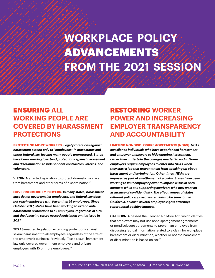# **WORKPLACE POLICY**  ADVANCEMENTS **FROM THE 2021 SESSION**

### ENSURING **ALL WORKING PEOPLE ARE COVERED BY HARASSMENT PROTECTIONS**

**PROTECTING MORE WORKERS:** *Legal protections against harassment extend only to "employees" in most states and under federal law, leaving many people unprotected. States have been working to extend protections against harassment and discrimination to independent contractors, interns, and volunteers.* 

**VIRGINIA** enacted legislation to protect domestic workers from harassment and other forms of discrimination<sup>13</sup>

**COVERING MORE EMPLOYERS:** *In many states, harassment laws do not cover smaller employers, and federal law does not reach employers with fewer than 15 employees. Since October 2017, states have been working to extend antiharassment protections to all employers, regardless of size, and the following states passed legislation on this issue in 2021.*

**TEXAS** enacted legislation extending protections against sexual harassment to all employees, regardless of the size of the employer's business. Previously, Texas sexual harassment law only covered government employers and private employers with 15 or more employees.14

## RESTORING **WORKER POWER AND INCREASING EMPLOYER TRANSPARENCY AND ACCOUNTABILITY**

#### **LIMITING NONDISCLOSURE AGREEMENTS (NDAS):** *NDAs*

*can silence individuals who have experienced harassment and empower employers to hide ongoing harassment, rather than undertake the changes needed to end it. Some employers require employees to enter into NDAs when they start a job that prevent them from speaking up about harassment or discrimination. Other times, NDAs are imposed as part of a settlement of a claim. States have been working to limit employer power to impose NDAs in both contexts while still supporting survivors who may want an assurance of confidentiality. The effectiveness of states' different policy approaches remains to be seen, but in California, at least, several employee rights attorneys report initial positive impacts.* 

**CALIFORNIA** passed the Silenced No More Act, which clarifies that employers may not use nondisparagement agreements or nondisclosure agreements to prevent an employee from discussing factual information related to a claim for workplace harassment or discrimination, whether or not the harassment or discrimination is based on sex.15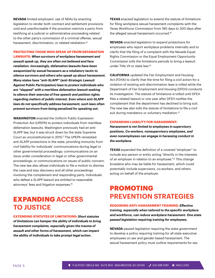**NEVADA** limited employers' use of NDAs by enacting legislation to render both contract and settlement provisions void and unenforceable if the provision restricts a party from testifying at a judicial or administrative proceeding related to the other party's commission of a criminal offense, sexual harassment, discrimination, or related retaliation.<sup>16</sup>

#### **PROTECTING THOSE WHO SPEAK UP FROM DEFAMATION**

**LAWSUITS:** *When survivors of workplace harassment and assault speak up, they are often not believed and face retaliation. Increasingly, defamation lawsuits have been weaponized by sexual harassers as a retaliatory tactic to silence survivors and others who speak up about harassment. Many states have "anti-SLAPP" (anti-Strategic Lawsuit Against Public Participation) laws to protect individuals who are "slapped" with a meritless defamation lawsuit seeking to silence their exercise of free speech and petition rights regarding matters of public interest. Even where anti-SLAPP laws do not specifically address harassment, such laws often prevent survivors from being penalized for speaking out.* 

**WASHINGTON** enacted the Uniform Public Expression Protection Act (UPEPA) to protect individuals from meritless defamation lawsuits. Washington previously had an anti-SLAPP law, but it was struck down by the state Supreme Court as unconstitutional in 2015.17 The UPEPA reinstated anti-SLAPP protections in the state, providing immunity from civil liability for individuals' communications during legal or other governmental proceedings; communications on an issue under consideration in legal or other governmental proceedings; or communications on issues of public concern. The new law also allows individuals to file a motion to dismiss the case and stay discovery and all other proceedings involving the complainant and responding party. Individuals who defeat a SLAPP lawsuit are entitled to reasonable attorneys' fees and litigation expenses.18

### EXPANDING **ACCESS TO JUSTICE**

**EXTENDING STATUTES OF LIMITATIONS:** *Short statutes of limitations can hamper the ability of individuals to bring harassment complaints, especially given the trauma of assault and other forms of harassment, which can impact the ability of individuals to take prompt legal action.*

**TEXAS** enacted legislation to extend the statute of limitations for filing workplace sexual harassment complaints with the Texas Workforce Commission from 180 days to 300 days after the alleged sexual harassment occurred.19

**NEVADA** enacted legislation to expand protections for employees who report workplace problems internally and to clarify that the filing of a complaint with the Nevada Equal Rights Commission or the Equal Employment Opportunity Commission tolls the limitations periods to bring a lawsuit under Title VII or state law.20

**CALIFORNIA** updated the Fair Employment and Housing Act (FEHA) to clarify that the time for filing a civil action for a violation of existing anti-discrimination laws is tolled while the Department of Fair Employment and Housing (DFEH) conducts its investigation. The statute of limitations is tolled until DFEH files a related lawsuit or one year after DFEH notifies the complainant that the department has declined to bring suit. The new law also tolls the statute of limitations to file a civil suit during mandatory or voluntary mediation.<sup>21</sup>

#### **EXPANDING LIABILITY FOR HARASSMENT:**

*Harassment is not limited to employees in supervisory positions. Co-workers, nonsupervisory employees, and even nonemployees can engage in harassing conduct in the workplace.* 

**TEXAS** expanded the definition of a covered "employer" to include any person or entity acting "directly in the interests of an employer in relation to an employee."<sup>22</sup> This change broadens who may be liable for harassment, which could potentially include supervisors, co-workers, and others acting on behalf of the employer.

## PROMOTING **PREVENTION STRATEGIES**

**REQUIRING ANTI-HARASSMENT TRAINING:** *Effective training, especially when tailored to the specific workplace and workforce, can reduce workplace harassment. One state passed legislation requiring training for employees.* 

**NEVADA** passed legislation requiring the state government to develop a policy requiring training for all state executive employees on sex and gender-based harassment. The sexual harassment policy must outline requirements for sex